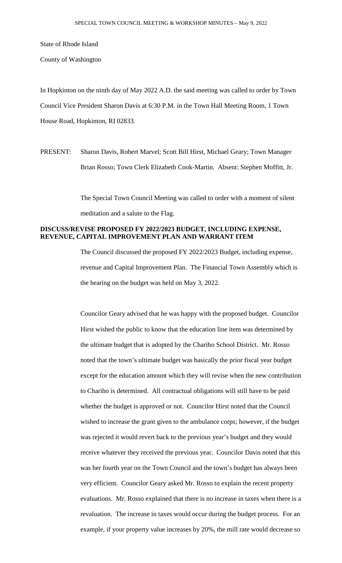State of Rhode Island

County of Washington

In Hopkinton on the ninth day of May 2022 A.D. the said meeting was called to order by Town Council Vice President Sharon Davis at 6:30 P.M. in the Town Hall Meeting Room, 1 Town House Road, Hopkinton, RI 02833.

PRESENT: Sharon Davis, Robert Marvel; Scott Bill Hirst, Michael Geary; Town Manager Brian Rosso; Town Clerk Elizabeth Cook-Martin. Absent: Stephen Moffitt, Jr.

> The Special Town Council Meeting was called to order with a moment of silent meditation and a salute to the Flag.

# **DISCUSS/REVISE PROPOSED FY 2022/2023 BUDGET, INCLUDING EXPENSE, REVENUE, CAPITAL IMPROVEMENT PLAN AND WARRANT ITEM**

The Council discussed the proposed FY 2022/2023 Budget, including expense, revenue and Capital Improvement Plan. The Financial Town Assembly which is the hearing on the budget was held on May 3, 2022.

Councilor Geary advised that he was happy with the proposed budget. Councilor Hirst wished the public to know that the education line item was determined by the ultimate budget that is adopted by the Chariho School District. Mr. Rosso noted that the town's ultimate budget was basically the prior fiscal year budget except for the education amount which they will revise when the new contribution to Chariho is determined. All contractual obligations will still have to be paid whether the budget is approved or not. Councilor Hirst noted that the Council wished to increase the grant given to the ambulance corps; however, if the budget was rejected it would revert back to the previous year's budget and they would receive whatever they received the previous year. Councilor Davis noted that this was her fourth year on the Town Council and the town's budget has always been very efficient. Councilor Geary asked Mr. Rosso to explain the recent property evaluations. Mr. Rosso explained that there is no increase in taxes when there is a revaluation. The increase in taxes would occur during the budget process. For an example, if your property value increases by 20%, the mill rate would decrease so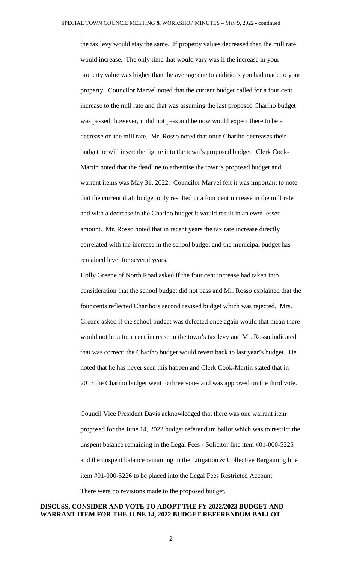the tax levy would stay the same. If property values decreased then the mill rate would increase. The only time that would vary was if the increase in your property value was higher than the average due to additions you had made to your property. Councilor Marvel noted that the current budget called for a four cent increase to the mill rate and that was assuming the last proposed Chariho budget was passed; however, it did not pass and he now would expect there to be a decrease on the mill rate. Mr. Rosso noted that once Chariho decreases their budget he will insert the figure into the town's proposed budget. Clerk Cook-Martin noted that the deadline to advertise the town's proposed budget and warrant items was May 31, 2022. Councilor Marvel felt it was important to note that the current draft budget only resulted in a four cent increase in the mill rate and with a decrease in the Chariho budget it would result in an even lesser amount. Mr. Rosso noted that in recent years the tax rate increase directly correlated with the increase in the school budget and the municipal budget has remained level for several years.

Holly Greene of North Road asked if the four cent increase had taken into consideration that the school budget did not pass and Mr. Rosso explained that the four cents reflected Chariho's second revised budget which was rejected. Mrs. Greene asked if the school budget was defeated once again would that mean there would not be a four cent increase in the town's tax levy and Mr. Rosso indicated that was correct; the Chariho budget would revert back to last year's budget. He noted that he has never seen this happen and Clerk Cook-Martin stated that in 2013 the Chariho budget went to three votes and was approved on the third vote.

Council Vice President Davis acknowledged that there was one warrant item proposed for the June 14, 2022 budget referendum ballot which was to restrict the unspent balance remaining in the Legal Fees - Solicitor line item #01-000-5225 and the unspent balance remaining in the Litigation & Collective Bargaining line item #01-000-5226 to be placed into the Legal Fees Restricted Account. There were no revisions made to the proposed budget.

## **DISCUSS, CONSIDER AND VOTE TO ADOPT THE FY 2022/2023 BUDGET AND WARRANT ITEM FOR THE JUNE 14, 2022 BUDGET REFERENDUM BALLOT**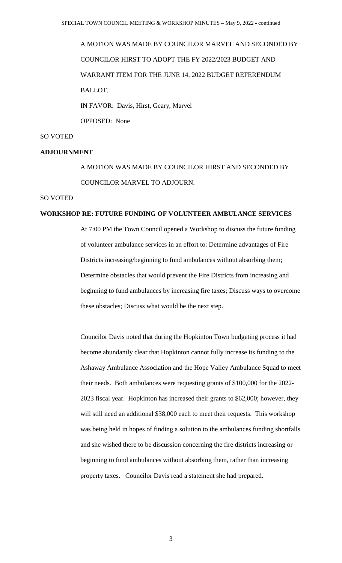A MOTION WAS MADE BY COUNCILOR MARVEL AND SECONDED BY COUNCILOR HIRST TO ADOPT THE FY 2022/2023 BUDGET AND WARRANT ITEM FOR THE JUNE 14, 2022 BUDGET REFERENDUM BALLOT. IN FAVOR: Davis, Hirst, Geary, Marvel OPPOSED: None

#### SO VOTED

#### **ADJOURNMENT**

A MOTION WAS MADE BY COUNCILOR HIRST AND SECONDED BY COUNCILOR MARVEL TO ADJOURN.

# SO VOTED

#### **WORKSHOP RE: FUTURE FUNDING OF VOLUNTEER AMBULANCE SERVICES**

At 7:00 PM the Town Council opened a Workshop to discuss the future funding of volunteer ambulance services in an effort to: Determine advantages of Fire Districts increasing/beginning to fund ambulances without absorbing them; Determine obstacles that would prevent the Fire Districts from increasing and beginning to fund ambulances by increasing fire taxes; Discuss ways to overcome these obstacles; Discuss what would be the next step.

Councilor Davis noted that during the Hopkinton Town budgeting process it had become abundantly clear that Hopkinton cannot fully increase its funding to the Ashaway Ambulance Association and the Hope Valley Ambulance Squad to meet their needs. Both ambulances were requesting grants of \$100,000 for the 2022- 2023 fiscal year. Hopkinton has increased their grants to \$62,000; however, they will still need an additional \$38,000 each to meet their requests. This workshop was being held in hopes of finding a solution to the ambulances funding shortfalls and she wished there to be discussion concerning the fire districts increasing or beginning to fund ambulances without absorbing them, rather than increasing property taxes. Councilor Davis read a statement she had prepared.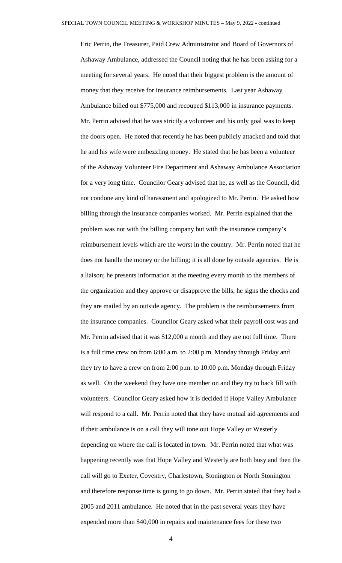Eric Perrin, the Treasurer, Paid Crew Administrator and Board of Governors of Ashaway Ambulance, addressed the Council noting that he has been asking for a meeting for several years. He noted that their biggest problem is the amount of money that they receive for insurance reimbursements. Last year Ashaway Ambulance billed out \$775,000 and recouped \$113,000 in insurance payments. Mr. Perrin advised that he was strictly a volunteer and his only goal was to keep the doors open. He noted that recently he has been publicly attacked and told that he and his wife were embezzling money. He stated that he has been a volunteer of the Ashaway Volunteer Fire Department and Ashaway Ambulance Association for a very long time. Councilor Geary advised that he, as well as the Council, did not condone any kind of harassment and apologized to Mr. Perrin. He asked how billing through the insurance companies worked. Mr. Perrin explained that the problem was not with the billing company but with the insurance company's reimbursement levels which are the worst in the country. Mr. Perrin noted that he does not handle the money or the billing; it is all done by outside agencies. He is a liaison; he presents information at the meeting every month to the members of the organization and they approve or disapprove the bills, he signs the checks and they are mailed by an outside agency. The problem is the reimbursements from the insurance companies. Councilor Geary asked what their payroll cost was and Mr. Perrin advised that it was \$12,000 a month and they are not full time. There is a full time crew on from 6:00 a.m. to 2:00 p.m. Monday through Friday and they try to have a crew on from 2:00 p.m. to 10:00 p.m. Monday through Friday as well. On the weekend they have one member on and they try to back fill with volunteers. Councilor Geary asked how it is decided if Hope Valley Ambulance will respond to a call. Mr. Perrin noted that they have mutual aid agreements and if their ambulance is on a call they will tone out Hope Valley or Westerly depending on where the call is located in town. Mr. Perrin noted that what was happening recently was that Hope Valley and Westerly are both busy and then the call will go to Exeter, Coventry, Charlestown, Stonington or North Stonington and therefore response time is going to go down. Mr. Perrin stated that they had a 2005 and 2011 ambulance. He noted that in the past several years they have expended more than \$40,000 in repairs and maintenance fees for these two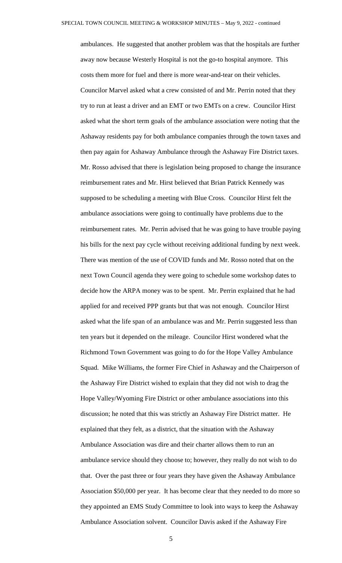ambulances. He suggested that another problem was that the hospitals are further away now because Westerly Hospital is not the go-to hospital anymore. This costs them more for fuel and there is more wear-and-tear on their vehicles. Councilor Marvel asked what a crew consisted of and Mr. Perrin noted that they try to run at least a driver and an EMT or two EMTs on a crew. Councilor Hirst asked what the short term goals of the ambulance association were noting that the Ashaway residents pay for both ambulance companies through the town taxes and then pay again for Ashaway Ambulance through the Ashaway Fire District taxes. Mr. Rosso advised that there is legislation being proposed to change the insurance reimbursement rates and Mr. Hirst believed that Brian Patrick Kennedy was supposed to be scheduling a meeting with Blue Cross. Councilor Hirst felt the ambulance associations were going to continually have problems due to the reimbursement rates. Mr. Perrin advised that he was going to have trouble paying his bills for the next pay cycle without receiving additional funding by next week. There was mention of the use of COVID funds and Mr. Rosso noted that on the next Town Council agenda they were going to schedule some workshop dates to decide how the ARPA money was to be spent. Mr. Perrin explained that he had applied for and received PPP grants but that was not enough. Councilor Hirst asked what the life span of an ambulance was and Mr. Perrin suggested less than ten years but it depended on the mileage. Councilor Hirst wondered what the Richmond Town Government was going to do for the Hope Valley Ambulance Squad. Mike Williams, the former Fire Chief in Ashaway and the Chairperson of the Ashaway Fire District wished to explain that they did not wish to drag the Hope Valley/Wyoming Fire District or other ambulance associations into this discussion; he noted that this was strictly an Ashaway Fire District matter. He explained that they felt, as a district, that the situation with the Ashaway Ambulance Association was dire and their charter allows them to run an ambulance service should they choose to; however, they really do not wish to do that. Over the past three or four years they have given the Ashaway Ambulance Association \$50,000 per year. It has become clear that they needed to do more so they appointed an EMS Study Committee to look into ways to keep the Ashaway Ambulance Association solvent. Councilor Davis asked if the Ashaway Fire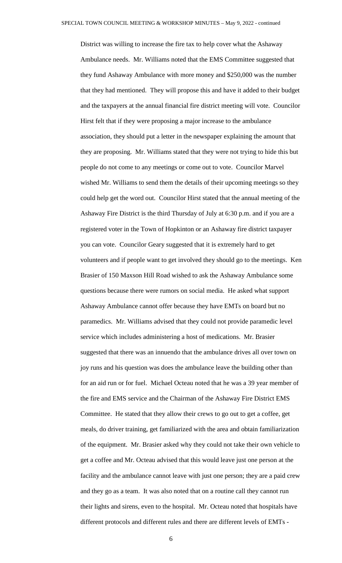District was willing to increase the fire tax to help cover what the Ashaway Ambulance needs. Mr. Williams noted that the EMS Committee suggested that they fund Ashaway Ambulance with more money and \$250,000 was the number that they had mentioned. They will propose this and have it added to their budget and the taxpayers at the annual financial fire district meeting will vote. Councilor Hirst felt that if they were proposing a major increase to the ambulance association, they should put a letter in the newspaper explaining the amount that they are proposing. Mr. Williams stated that they were not trying to hide this but people do not come to any meetings or come out to vote. Councilor Marvel wished Mr. Williams to send them the details of their upcoming meetings so they could help get the word out. Councilor Hirst stated that the annual meeting of the Ashaway Fire District is the third Thursday of July at 6:30 p.m. and if you are a registered voter in the Town of Hopkinton or an Ashaway fire district taxpayer you can vote. Councilor Geary suggested that it is extremely hard to get volunteers and if people want to get involved they should go to the meetings. Ken Brasier of 150 Maxson Hill Road wished to ask the Ashaway Ambulance some questions because there were rumors on social media. He asked what support Ashaway Ambulance cannot offer because they have EMTs on board but no paramedics. Mr. Williams advised that they could not provide paramedic level service which includes administering a host of medications. Mr. Brasier suggested that there was an innuendo that the ambulance drives all over town on joy runs and his question was does the ambulance leave the building other than for an aid run or for fuel. Michael Octeau noted that he was a 39 year member of the fire and EMS service and the Chairman of the Ashaway Fire District EMS Committee. He stated that they allow their crews to go out to get a coffee, get meals, do driver training, get familiarized with the area and obtain familiarization of the equipment. Mr. Brasier asked why they could not take their own vehicle to get a coffee and Mr. Octeau advised that this would leave just one person at the facility and the ambulance cannot leave with just one person; they are a paid crew and they go as a team. It was also noted that on a routine call they cannot run their lights and sirens, even to the hospital. Mr. Octeau noted that hospitals have different protocols and different rules and there are different levels of EMTs -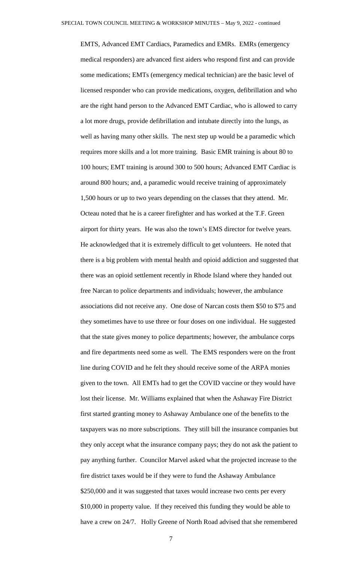EMTS, Advanced EMT Cardiacs, Paramedics and EMRs. EMRs (emergency medical responders) are advanced first aiders who respond first and can provide some medications; EMTs (emergency medical technician) are the basic level of licensed responder who can provide medications, oxygen, defibrillation and who are the right hand person to the Advanced EMT Cardiac, who is allowed to carry a lot more drugs, provide defibrillation and intubate directly into the lungs, as well as having many other skills. The next step up would be a paramedic which requires more skills and a lot more training. Basic EMR training is about 80 to 100 hours; EMT training is around 300 to 500 hours; Advanced EMT Cardiac is around 800 hours; and, a paramedic would receive training of approximately 1,500 hours or up to two years depending on the classes that they attend. Mr. Octeau noted that he is a career firefighter and has worked at the T.F. Green airport for thirty years. He was also the town's EMS director for twelve years. He acknowledged that it is extremely difficult to get volunteers. He noted that there is a big problem with mental health and opioid addiction and suggested that there was an opioid settlement recently in Rhode Island where they handed out free Narcan to police departments and individuals; however, the ambulance associations did not receive any. One dose of Narcan costs them \$50 to \$75 and they sometimes have to use three or four doses on one individual. He suggested that the state gives money to police departments; however, the ambulance corps and fire departments need some as well. The EMS responders were on the front line during COVID and he felt they should receive some of the ARPA monies given to the town. All EMTs had to get the COVID vaccine or they would have lost their license. Mr. Williams explained that when the Ashaway Fire District first started granting money to Ashaway Ambulance one of the benefits to the taxpayers was no more subscriptions. They still bill the insurance companies but they only accept what the insurance company pays; they do not ask the patient to pay anything further. Councilor Marvel asked what the projected increase to the fire district taxes would be if they were to fund the Ashaway Ambulance \$250,000 and it was suggested that taxes would increase two cents per every \$10,000 in property value. If they received this funding they would be able to have a crew on 24/7. Holly Greene of North Road advised that she remembered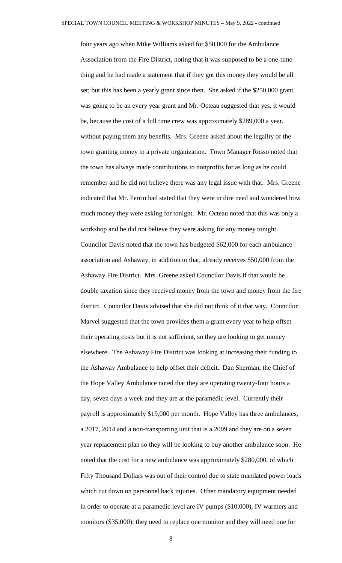four years ago when Mike Williams asked for \$50,000 for the Ambulance Association from the Fire District, noting that it was supposed to be a one-time thing and he had made a statement that if they got this money they would be all set; but this has been a yearly grant since then. She asked if the \$250,000 grant was going to be an every year grant and Mr. Octeau suggested that yes, it would be, because the cost of a full time crew was approximately \$289,000 a year, without paying them any benefits. Mrs. Greene asked about the legality of the town granting money to a private organization. Town Manager Rosso noted that the town has always made contributions to nonprofits for as long as he could remember and he did not believe there was any legal issue with that. Mrs. Greene indicated that Mr. Perrin had stated that they were in dire need and wondered how much money they were asking for tonight. Mr. Octeau noted that this was only a workshop and he did not believe they were asking for any money tonight. Councilor Davis noted that the town has budgeted \$62,000 for each ambulance association and Ashaway, in addition to that, already receives \$50,000 from the Ashaway Fire District. Mrs. Greene asked Councilor Davis if that would be double taxation since they received money from the town and money from the fire district. Councilor Davis advised that she did not think of it that way. Councilor Marvel suggested that the town provides them a grant every year to help offset their operating costs but it is not sufficient, so they are looking to get money elsewhere. The Ashaway Fire District was looking at increasing their funding to the Ashaway Ambulance to help offset their deficit. Dan Sherman, the Chief of the Hope Valley Ambulance noted that they are operating twenty-four hours a day, seven days a week and they are at the paramedic level. Currently their payroll is approximately \$19,000 per month. Hope Valley has three ambulances, a 2017, 2014 and a non-transporting unit that is a 2009 and they are on a seven year replacement plan so they will be looking to buy another ambulance soon. He noted that the cost for a new ambulance was approximately \$280,000, of which Fifty Thousand Dollars was out of their control due to state mandated power loads which cut down on personnel back injuries. Other mandatory equipment needed in order to operate at a paramedic level are IV pumps (\$10,000), IV warmers and monitors (\$35,000); they need to replace one monitor and they will need one for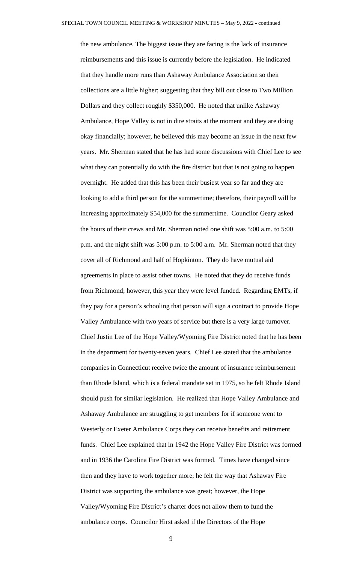the new ambulance. The biggest issue they are facing is the lack of insurance reimbursements and this issue is currently before the legislation. He indicated that they handle more runs than Ashaway Ambulance Association so their collections are a little higher; suggesting that they bill out close to Two Million Dollars and they collect roughly \$350,000. He noted that unlike Ashaway Ambulance, Hope Valley is not in dire straits at the moment and they are doing okay financially; however, he believed this may become an issue in the next few years. Mr. Sherman stated that he has had some discussions with Chief Lee to see what they can potentially do with the fire district but that is not going to happen overnight. He added that this has been their busiest year so far and they are looking to add a third person for the summertime; therefore, their payroll will be increasing approximately \$54,000 for the summertime. Councilor Geary asked the hours of their crews and Mr. Sherman noted one shift was 5:00 a.m. to 5:00 p.m. and the night shift was 5:00 p.m. to 5:00 a.m. Mr. Sherman noted that they cover all of Richmond and half of Hopkinton. They do have mutual aid agreements in place to assist other towns. He noted that they do receive funds from Richmond; however, this year they were level funded. Regarding EMTs, if they pay for a person's schooling that person will sign a contract to provide Hope Valley Ambulance with two years of service but there is a very large turnover. Chief Justin Lee of the Hope Valley/Wyoming Fire District noted that he has been in the department for twenty-seven years. Chief Lee stated that the ambulance companies in Connecticut receive twice the amount of insurance reimbursement than Rhode Island, which is a federal mandate set in 1975, so he felt Rhode Island should push for similar legislation. He realized that Hope Valley Ambulance and Ashaway Ambulance are struggling to get members for if someone went to Westerly or Exeter Ambulance Corps they can receive benefits and retirement funds. Chief Lee explained that in 1942 the Hope Valley Fire District was formed and in 1936 the Carolina Fire District was formed. Times have changed since then and they have to work together more; he felt the way that Ashaway Fire District was supporting the ambulance was great; however, the Hope Valley/Wyoming Fire District's charter does not allow them to fund the ambulance corps. Councilor Hirst asked if the Directors of the Hope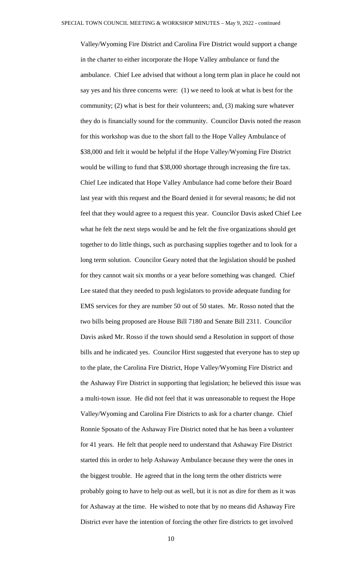Valley/Wyoming Fire District and Carolina Fire District would support a change in the charter to either incorporate the Hope Valley ambulance or fund the ambulance. Chief Lee advised that without a long term plan in place he could not say yes and his three concerns were: (1) we need to look at what is best for the community; (2) what is best for their volunteers; and, (3) making sure whatever they do is financially sound for the community. Councilor Davis noted the reason for this workshop was due to the short fall to the Hope Valley Ambulance of \$38,000 and felt it would be helpful if the Hope Valley/Wyoming Fire District would be willing to fund that \$38,000 shortage through increasing the fire tax. Chief Lee indicated that Hope Valley Ambulance had come before their Board last year with this request and the Board denied it for several reasons; he did not feel that they would agree to a request this year. Councilor Davis asked Chief Lee what he felt the next steps would be and he felt the five organizations should get together to do little things, such as purchasing supplies together and to look for a long term solution. Councilor Geary noted that the legislation should be pushed for they cannot wait six months or a year before something was changed. Chief Lee stated that they needed to push legislators to provide adequate funding for EMS services for they are number 50 out of 50 states. Mr. Rosso noted that the two bills being proposed are House Bill 7180 and Senate Bill 2311. Councilor Davis asked Mr. Rosso if the town should send a Resolution in support of those bills and he indicated yes. Councilor Hirst suggested that everyone has to step up to the plate, the Carolina Fire District, Hope Valley/Wyoming Fire District and the Ashaway Fire District in supporting that legislation; he believed this issue was a multi-town issue. He did not feel that it was unreasonable to request the Hope Valley/Wyoming and Carolina Fire Districts to ask for a charter change. Chief Ronnie Sposato of the Ashaway Fire District noted that he has been a volunteer for 41 years. He felt that people need to understand that Ashaway Fire District started this in order to help Ashaway Ambulance because they were the ones in the biggest trouble. He agreed that in the long term the other districts were probably going to have to help out as well, but it is not as dire for them as it was for Ashaway at the time. He wished to note that by no means did Ashaway Fire District ever have the intention of forcing the other fire districts to get involved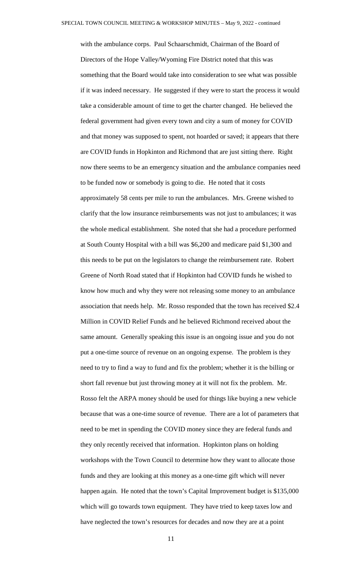with the ambulance corps. Paul Schaarschmidt, Chairman of the Board of Directors of the Hope Valley/Wyoming Fire District noted that this was something that the Board would take into consideration to see what was possible if it was indeed necessary. He suggested if they were to start the process it would take a considerable amount of time to get the charter changed. He believed the federal government had given every town and city a sum of money for COVID and that money was supposed to spent, not hoarded or saved; it appears that there are COVID funds in Hopkinton and Richmond that are just sitting there. Right now there seems to be an emergency situation and the ambulance companies need to be funded now or somebody is going to die. He noted that it costs approximately 58 cents per mile to run the ambulances. Mrs. Greene wished to clarify that the low insurance reimbursements was not just to ambulances; it was the whole medical establishment. She noted that she had a procedure performed at South County Hospital with a bill was \$6,200 and medicare paid \$1,300 and this needs to be put on the legislators to change the reimbursement rate. Robert Greene of North Road stated that if Hopkinton had COVID funds he wished to know how much and why they were not releasing some money to an ambulance association that needs help. Mr. Rosso responded that the town has received \$2.4 Million in COVID Relief Funds and he believed Richmond received about the same amount. Generally speaking this issue is an ongoing issue and you do not put a one-time source of revenue on an ongoing expense. The problem is they need to try to find a way to fund and fix the problem; whether it is the billing or short fall revenue but just throwing money at it will not fix the problem. Mr. Rosso felt the ARPA money should be used for things like buying a new vehicle because that was a one-time source of revenue. There are a lot of parameters that need to be met in spending the COVID money since they are federal funds and they only recently received that information. Hopkinton plans on holding workshops with the Town Council to determine how they want to allocate those funds and they are looking at this money as a one-time gift which will never happen again. He noted that the town's Capital Improvement budget is \$135,000 which will go towards town equipment. They have tried to keep taxes low and have neglected the town's resources for decades and now they are at a point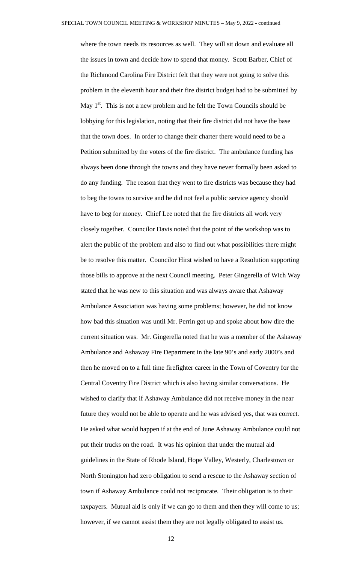where the town needs its resources as well. They will sit down and evaluate all the issues in town and decide how to spend that money. Scott Barber, Chief of the Richmond Carolina Fire District felt that they were not going to solve this problem in the eleventh hour and their fire district budget had to be submitted by May  $1<sup>st</sup>$ . This is not a new problem and he felt the Town Councils should be lobbying for this legislation, noting that their fire district did not have the base that the town does. In order to change their charter there would need to be a Petition submitted by the voters of the fire district. The ambulance funding has always been done through the towns and they have never formally been asked to do any funding. The reason that they went to fire districts was because they had to beg the towns to survive and he did not feel a public service agency should have to beg for money. Chief Lee noted that the fire districts all work very closely together. Councilor Davis noted that the point of the workshop was to alert the public of the problem and also to find out what possibilities there might be to resolve this matter. Councilor Hirst wished to have a Resolution supporting those bills to approve at the next Council meeting. Peter Gingerella of Wich Way stated that he was new to this situation and was always aware that Ashaway Ambulance Association was having some problems; however, he did not know how bad this situation was until Mr. Perrin got up and spoke about how dire the current situation was. Mr. Gingerella noted that he was a member of the Ashaway Ambulance and Ashaway Fire Department in the late 90's and early 2000's and then he moved on to a full time firefighter career in the Town of Coventry for the Central Coventry Fire District which is also having similar conversations. He wished to clarify that if Ashaway Ambulance did not receive money in the near future they would not be able to operate and he was advised yes, that was correct. He asked what would happen if at the end of June Ashaway Ambulance could not put their trucks on the road. It was his opinion that under the mutual aid guidelines in the State of Rhode Island, Hope Valley, Westerly, Charlestown or North Stonington had zero obligation to send a rescue to the Ashaway section of town if Ashaway Ambulance could not reciprocate. Their obligation is to their taxpayers. Mutual aid is only if we can go to them and then they will come to us; however, if we cannot assist them they are not legally obligated to assist us.